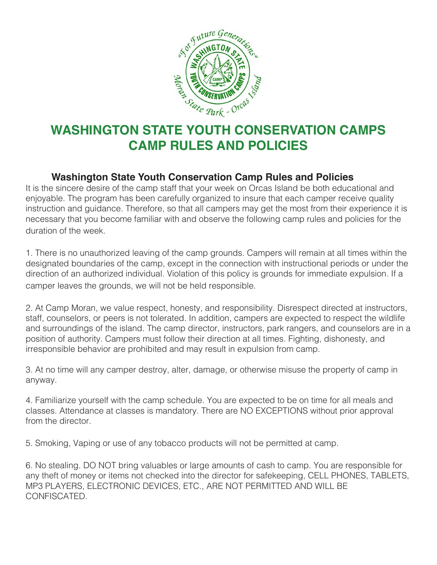

## **CAMP RULES AND POLICIES**

## **Washington State Youth Conservation Camp Rules and Policies**

It is the sincere desire of the camp staff that your week on Orcas Island be both educational and enjoyable. The program has been carefully organized to insure that each camper receive quality instruction and guidance. Therefore, so that all campers may get the most from their experience it is necessary that you become familiar with and observe the following camp rules and policies for the duration of the week.

1. There is no unauthorized leaving of the camp grounds. Campers will remain at all times within the designated boundaries of the camp, except in the connection with instructional periods or under the direction of an authorized individual. Violation of this policy is grounds for immediate expulsion. If a camper leaves the grounds, we will not be held responsible.

2. At Camp Moran, we value respect, honesty, and responsibility. Disrespect directed at instructors, staff, counselors, or peers is not tolerated. In addition, campers are expected to respect the wildlife and surroundings of the island. The camp director, instructors, park rangers, and counselors are in a position of authority. Campers must follow their direction at all times. Fighting, dishonesty, and irresponsible behavior are prohibited and may result in expulsion from camp.

3. At no time will any camper destroy, alter, damage, or otherwise misuse the property of camp in anyway.

4. Familiarize yourself with the camp schedule. You are expected to be on time for all meals and classes. Attendance at classes is mandatory. There are NO EXCEPTIONS without prior approval from the director.

5. Smoking, Vaping or use of any tobacco products will not be permitted at camp.

6. No stealing. DO NOT bring valuables or large amounts of cash to camp. You are responsible for any theft of money or items not checked into the director for safekeeping, CELL PHONES, TABLETS, MP3 PLAYERS, ELECTRONIC DEVICES, ETC., ARE NOT PERMITTED AND WILL BE CONFISCATED.